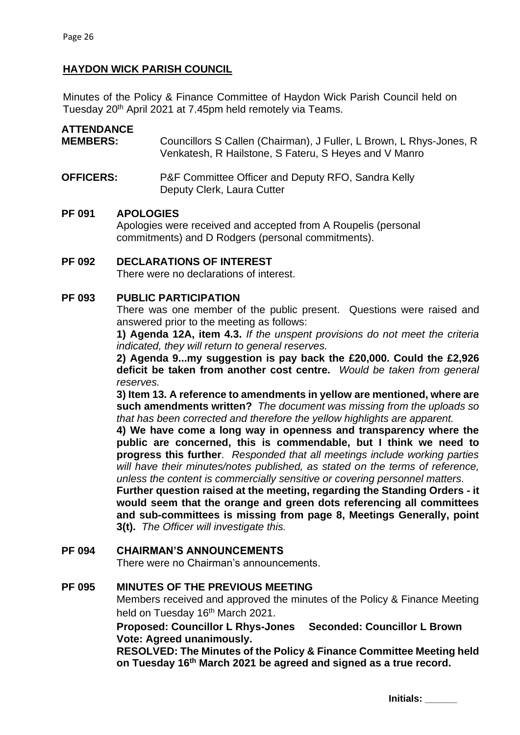# **HAYDON WICK PARISH COUNCIL**

Minutes of the Policy & Finance Committee of Haydon Wick Parish Council held on Tuesday 20<sup>th</sup> April 2021 at 7.45pm held remotely via Teams.

# **ATTENDANCE MEMBERS:** Councillors S Callen (Chairman), J Fuller, L Brown, L Rhys-Jones, R Venkatesh, R Hailstone, S Fateru, S Heyes and V Manro

## **OFFICERS:** P&F Committee Officer and Deputy RFO, Sandra Kelly Deputy Clerk, Laura Cutter

#### **PF 091 APOLOGIES**

Apologies were received and accepted from A Roupelis (personal commitments) and D Rodgers (personal commitments).

**PF 092 DECLARATIONS OF INTEREST** There were no declarations of interest.

### **PF 093 PUBLIC PARTICIPATION**

There was one member of the public present. Questions were raised and answered prior to the meeting as follows:

**1) Agenda 12A, item 4.3.** *If the unspent provisions do not meet the criteria indicated, they will return to general reserves.*

**2) Agenda 9...my suggestion is pay back the £20,000. Could the £2,926 deficit be taken from another cost centre.** *Would be taken from general reserves.*

**3) Item 13. A reference to amendments in yellow are mentioned, where are such amendments written?** *The document was missing from the uploads so that has been corrected and therefore the yellow highlights are apparent.*

**4) We have come a long way in openness and transparency where the public are concerned, this is commendable, but I think we need to progress this further**. *Responded that all meetings include working parties will have their minutes/notes published, as stated on the terms of reference, unless the content is commercially sensitive or covering personnel matters.* 

**Further question raised at the meeting, regarding the Standing Orders - it would seem that the orange and green dots referencing all committees and sub-committees is missing from page 8, Meetings Generally, point 3(t).** *The Officer will investigate this.*

# **PF 094 CHAIRMAN'S ANNOUNCEMENTS**

There were no Chairman's announcements.

# **PF 095 MINUTES OF THE PREVIOUS MEETING**

Members received and approved the minutes of the Policy & Finance Meeting held on Tuesday 16<sup>th</sup> March 2021.

**Proposed: Councillor L Rhys-Jones Seconded: Councillor L Brown Vote: Agreed unanimously.** 

**RESOLVED: The Minutes of the Policy & Finance Committee Meeting held on Tuesday 16 th March 2021 be agreed and signed as a true record.**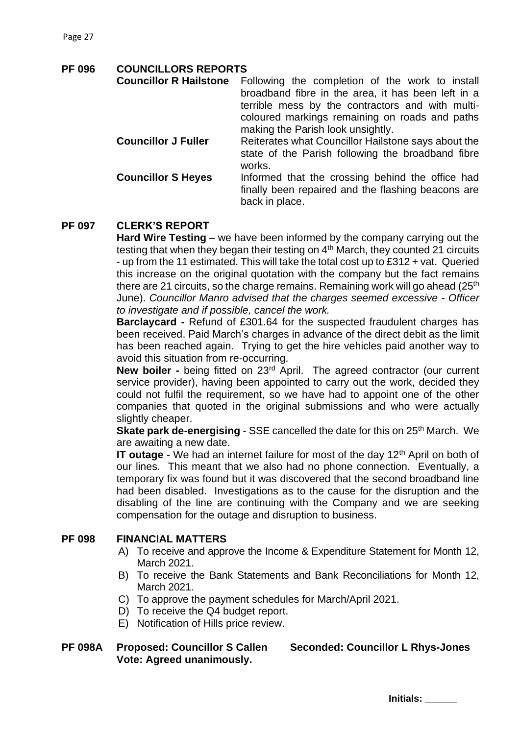# **PF 096 COUNCILLORS REPORTS**

| <b>Councillor R Hailstone</b> | Following the completion of the work to install<br>broadband fibre in the area, it has been left in a<br>terrible mess by the contractors and with multi-<br>coloured markings remaining on roads and paths |
|-------------------------------|-------------------------------------------------------------------------------------------------------------------------------------------------------------------------------------------------------------|
|                               | making the Parish look unsightly.                                                                                                                                                                           |
| <b>Councillor J Fuller</b>    | Reiterates what Councillor Hailstone says about the<br>state of the Parish following the broadband fibre<br>works.                                                                                          |
| <b>Councillor S Heyes</b>     | Informed that the crossing behind the office had<br>finally been repaired and the flashing beacons are<br>back in place.                                                                                    |

# **PF 097 CLERK'S REPORT**

**Hard Wire Testing** – we have been informed by the company carrying out the testing that when they began their testing on  $4<sup>th</sup>$  March, they counted 21 circuits - up from the 11 estimated. This will take the total cost up to £312 + vat. Queried this increase on the original quotation with the company but the fact remains there are 21 circuits, so the charge remains. Remaining work will go ahead  $(25<sup>th</sup>)$ June). *Councillor Manro advised that the charges seemed excessive - Officer to investigate and if possible, cancel the work.* 

**Barclaycard -** Refund of £301.64 for the suspected fraudulent charges has been received. Paid March's charges in advance of the direct debit as the limit has been reached again. Trying to get the hire vehicles paid another way to avoid this situation from re-occurring.

**New boiler -** being fitted on 23rd April. The agreed contractor (our current service provider), having been appointed to carry out the work, decided they could not fulfil the requirement, so we have had to appoint one of the other companies that quoted in the original submissions and who were actually slightly cheaper.

**Skate park de-energising** - SSE cancelled the date for this on 25<sup>th</sup> March. We are awaiting a new date.

**IT outage** - We had an internet failure for most of the day 12<sup>th</sup> April on both of our lines. This meant that we also had no phone connection. Eventually, a temporary fix was found but it was discovered that the second broadband line had been disabled. Investigations as to the cause for the disruption and the disabling of the line are continuing with the Company and we are seeking compensation for the outage and disruption to business.

# **PF 098 FINANCIAL MATTERS**

- A) To receive and approve the Income & Expenditure Statement for Month 12, March 2021.
- B) To receive the Bank Statements and Bank Reconciliations for Month 12, March 2021.
- C) To approve the payment schedules for March/April 2021.
- D) To receive the Q4 budget report.
- E) Notification of Hills price review.

# **PF 098A Proposed: Councillor S Callen Seconded: Councillor L Rhys-Jones Vote: Agreed unanimously.**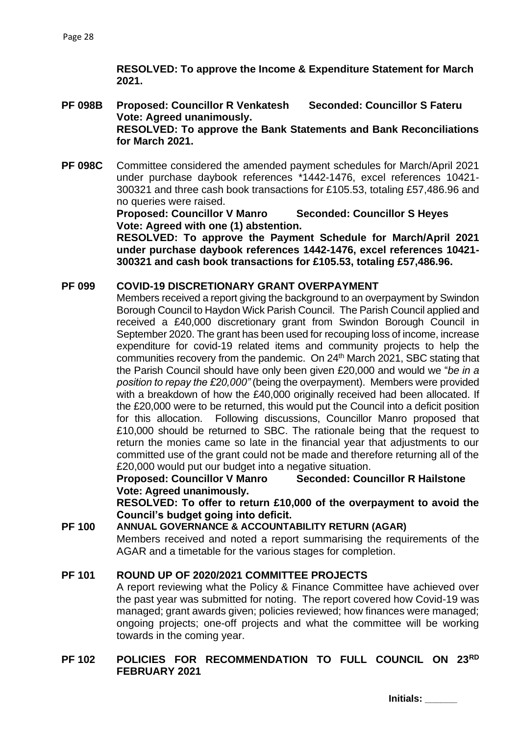**RESOLVED: To approve the Income & Expenditure Statement for March 2021.**

- **PF 098B Proposed: Councillor R Venkatesh Seconded: Councillor S Fateru Vote: Agreed unanimously. RESOLVED: To approve the Bank Statements and Bank Reconciliations for March 2021.**
- **PF 098C** Committee considered the amended payment schedules for March/April 2021 under purchase daybook references \*1442-1476, excel references 10421- 300321 and three cash book transactions for £105.53, totaling £57,486.96 and no queries were raised.

**Proposed: Councillor V Manro Seconded: Councillor S Heyes Vote: Agreed with one (1) abstention.**

**RESOLVED: To approve the Payment Schedule for March/April 2021 under purchase daybook references 1442-1476, excel references 10421- 300321 and cash book transactions for £105.53, totaling £57,486.96.**

#### **PF 099 COVID-19 DISCRETIONARY GRANT OVERPAYMENT**

Members received a report giving the background to an overpayment by Swindon Borough Council to Haydon Wick Parish Council. The Parish Council applied and received a £40,000 discretionary grant from Swindon Borough Council in September 2020. The grant has been used for recouping loss of income, increase expenditure for covid-19 related items and community projects to help the communities recovery from the pandemic. On 24<sup>th</sup> March 2021, SBC stating that the Parish Council should have only been given £20,000 and would we "*be in a position to repay the £20,000"* (being the overpayment). Members were provided with a breakdown of how the £40,000 originally received had been allocated. If the £20,000 were to be returned, this would put the Council into a deficit position for this allocation. Following discussions, Councillor Manro proposed that £10,000 should be returned to SBC. The rationale being that the request to return the monies came so late in the financial year that adjustments to our committed use of the grant could not be made and therefore returning all of the £20,000 would put our budget into a negative situation.

**Proposed: Councillor V Manro Seconded: Councillor R Hailstone Vote: Agreed unanimously.**

**RESOLVED: To offer to return £10,000 of the overpayment to avoid the Council's budget going into deficit.**

# **PF 100 ANNUAL GOVERNANCE & ACCOUNTABILITY RETURN (AGAR)**

Members received and noted a report summarising the requirements of the AGAR and a timetable for the various stages for completion.

#### **PF 101 ROUND UP OF 2020/2021 COMMITTEE PROJECTS**

A report reviewing what the Policy & Finance Committee have achieved over the past year was submitted for noting. The report covered how Covid-19 was managed; grant awards given; policies reviewed; how finances were managed; ongoing projects; one-off projects and what the committee will be working towards in the coming year.

## **PF 102 POLICIES FOR RECOMMENDATION TO FULL COUNCIL ON 23RD FEBRUARY 2021**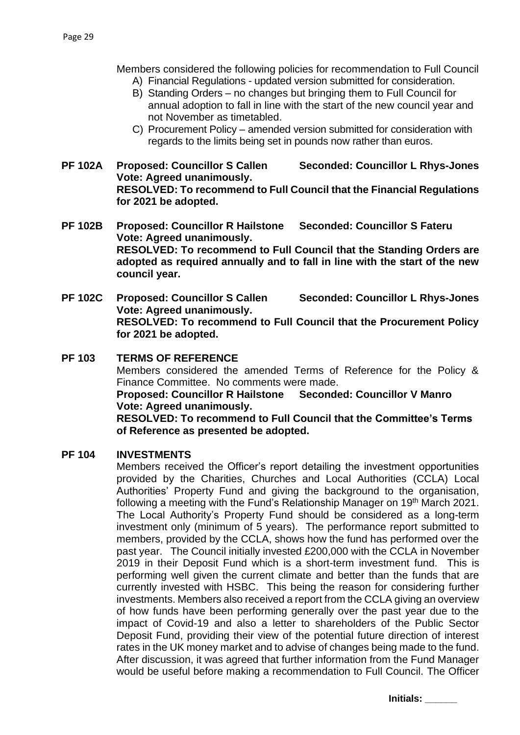Members considered the following policies for recommendation to Full Council

- A) Financial Regulations updated version submitted for consideration.
- B) Standing Orders no changes but bringing them to Full Council for annual adoption to fall in line with the start of the new council year and not November as timetabled.
- C) Procurement Policy amended version submitted for consideration with regards to the limits being set in pounds now rather than euros.
- **PF 102A Proposed: Councillor S Callen Seconded: Councillor L Rhys-Jones Vote: Agreed unanimously. RESOLVED: To recommend to Full Council that the Financial Regulations for 2021 be adopted.**
- **PF 102B Proposed: Councillor R Hailstone Seconded: Councillor S Fateru Vote: Agreed unanimously. RESOLVED: To recommend to Full Council that the Standing Orders are adopted as required annually and to fall in line with the start of the new council year.**
- **PF 102C Proposed: Councillor S Callen Seconded: Councillor L Rhys-Jones Vote: Agreed unanimously. RESOLVED: To recommend to Full Council that the Procurement Policy for 2021 be adopted.**

# **PF 103 TERMS OF REFERENCE**

Members considered the amended Terms of Reference for the Policy & Finance Committee. No comments were made.

**Proposed: Councillor R Hailstone Seconded: Councillor V Manro Vote: Agreed unanimously.**

**RESOLVED: To recommend to Full Council that the Committee's Terms of Reference as presented be adopted.** 

#### **PF 104 INVESTMENTS**

Members received the Officer's report detailing the investment opportunities provided by the Charities, Churches and Local Authorities (CCLA) Local Authorities' Property Fund and giving the background to the organisation, following a meeting with the Fund's Relationship Manager on 19<sup>th</sup> March 2021. The Local Authority's Property Fund should be considered as a long-term investment only (minimum of 5 years). The performance report submitted to members, provided by the CCLA, shows how the fund has performed over the past year. The Council initially invested £200,000 with the CCLA in November 2019 in their Deposit Fund which is a short-term investment fund. This is performing well given the current climate and better than the funds that are currently invested with HSBC. This being the reason for considering further investments. Members also received a report from the CCLA giving an overview of how funds have been performing generally over the past year due to the impact of Covid-19 and also a letter to shareholders of the Public Sector Deposit Fund, providing their view of the potential future direction of interest rates in the UK money market and to advise of changes being made to the fund. After discussion, it was agreed that further information from the Fund Manager would be useful before making a recommendation to Full Council. The Officer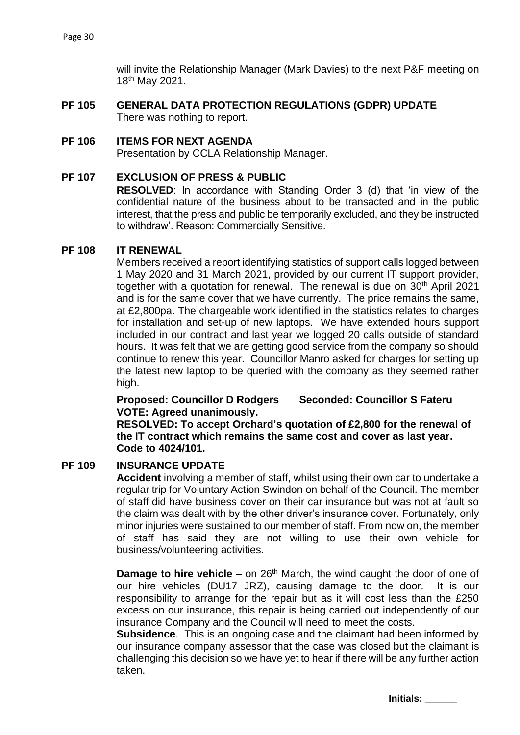will invite the Relationship Manager (Mark Davies) to the next P&F meeting on 18th May 2021.

**PF 105 GENERAL DATA PROTECTION REGULATIONS (GDPR) UPDATE** There was nothing to report.

#### **PF 106 ITEMS FOR NEXT AGENDA**

Presentation by CCLA Relationship Manager.

#### **PF 107 EXCLUSION OF PRESS & PUBLIC**

**RESOLVED**: In accordance with Standing Order 3 (d) that 'in view of the confidential nature of the business about to be transacted and in the public interest, that the press and public be temporarily excluded, and they be instructed to withdraw'. Reason: Commercially Sensitive.

#### **PF 108 IT RENEWAL**

Members received a report identifying statistics of support calls logged between 1 May 2020 and 31 March 2021, provided by our current IT support provider, together with a quotation for renewal. The renewal is due on 30<sup>th</sup> April 2021 and is for the same cover that we have currently. The price remains the same, at £2,800pa. The chargeable work identified in the statistics relates to charges for installation and set-up of new laptops. We have extended hours support included in our contract and last year we logged 20 calls outside of standard hours. It was felt that we are getting good service from the company so should continue to renew this year. Councillor Manro asked for charges for setting up the latest new laptop to be queried with the company as they seemed rather high.

**Proposed: Councillor D Rodgers Seconded: Councillor S Fateru VOTE: Agreed unanimously.**

**RESOLVED: To accept Orchard's quotation of £2,800 for the renewal of the IT contract which remains the same cost and cover as last year. Code to 4024/101.**

### **PF 109 INSURANCE UPDATE**

**Accident** involving a member of staff, whilst using their own car to undertake a regular trip for Voluntary Action Swindon on behalf of the Council. The member of staff did have business cover on their car insurance but was not at fault so the claim was dealt with by the other driver's insurance cover. Fortunately, only minor injuries were sustained to our member of staff. From now on, the member of staff has said they are not willing to use their own vehicle for business/volunteering activities.

**Damage to hire vehicle –** on 26<sup>th</sup> March, the wind caught the door of one of our hire vehicles (DU17 JRZ), causing damage to the door. It is our responsibility to arrange for the repair but as it will cost less than the £250 excess on our insurance, this repair is being carried out independently of our insurance Company and the Council will need to meet the costs.

**Subsidence**. This is an ongoing case and the claimant had been informed by our insurance company assessor that the case was closed but the claimant is challenging this decision so we have yet to hear if there will be any further action taken.